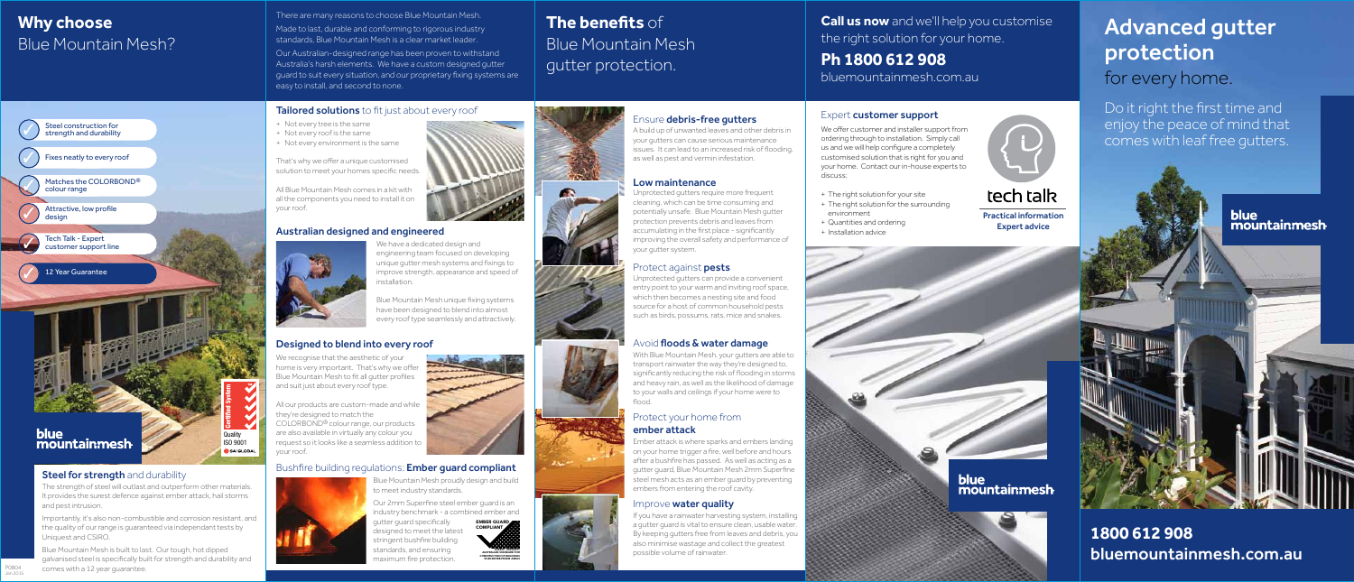**1800 612 908** bluemountainmesh.com.au

# Advanced gutter protection for every home.

**Call us now** and we'll help you customise the right solution for your home.

**Ph 1800 612 908** bluemountainmesh.com.au

# **The benefits** of Blue Mountain Mesh gutter protection.

## Ensure debris-free gutters

### Low maintenance

### Protect against pests

## Avoid floods & water damage

### Protect your home from ember attack

# **Why choose** Blue Mountain Mesh?

There are many reasons to choose Blue Mountain Mesh. Made to last, durable and conforming to rigorous industry standards, Blue Mountain Mesh is a clear market leader.

Our Australian-designed range has been proven to withstand Australia's harsh elements. We have a custom designed gutter guard to suit every situation, and our proprietary fixing systems are easy to install, and second to none.

### Tailored solutions to fit just about every roof

## Australian designed and engineered



## Designed to blend into every roof

### Expert customer support

We offer customer and installer support from ordering through to installation. Simply call us and we will help configure a completely customised solution that is right for you and your home. Contact our in-house experts to

discuss:

+ The right solution for your site + The right solution for the surrounding

environment

+ Quantities and ordering



Practical information Expert advice

**blue** mountainmesh

### The strength of steel will outlast and outperform other materials. It provides the surest defence against ember attack, hail storms

and pest intrusion. Importantly, it's also non-combustible and corrosion resistant, and the quality of our range is guaranteed via independant tests by

Uniquest and CSIRO.

Blue Mountain Mesh is built to last. Our tough, hot dipped galvanised steel is specifically built for strength and durability and comes with a 12 year guarantee.

Blue Mountain Mesh proudly design and build to meet industry standards.

With Blue Mountain Mesh, your gutters are able to transport rainwater the way they're designed to, significantly reducing the risk of flooding in storms and heavy rain, as well as the likelihood of damage to your walls and ceilings if your home were to flood.

Our 2mm Superfine steel ember guard is an industry benchmark - a combined ember and gutter guard specifically designed to meet the latest stringent bushfire building standards, and ensuring maximum fire protection. EMBER GUARD COMPLIANT AS3959 - 2009/2011 AUSTRALIAN STANDARD FOR CONSTRUCTION OF BUILDINGS IN BUSHFIRE-PRONE AREAS

We recognise that the aesthetic of your home is very important. That's why we offer Blue Mountain Mesh to fit all gutter profiles and suit just about every roof type.

All our products are custom-made and while they're designed to match the COLORBOND® colour range, our products are also available in virtually any colour you request so it looks like a seamless addition to your roof.

## Bushfire building regulations: **Ember quard compliant**



We have a dedicated design and engineering team focused on developing unique gutter mesh systems and fixings to improve strength, appearance and speed of installation.



Blue Mountain Mesh unique fixing systems have been designed to blend into almost every roof type seamlessly and attractively.

- + Not every tree is the same
- + Not every roof is the same
- + Not every environment is the same

That's why we offer a unique customised solution to meet your homes specific needs.

All Blue Mountain Mesh comes in a kit with all the components you need to install it on your roof.

A build up of unwanted leaves and other debris in your gutters can cause serious maintenance issues. It can lead to an increased risk of flooding, as well as pest and vermin infestation.

Unprotected gutters require more frequent cleaning, which can be time consuming and potentially unsafe. Blue Mountain Mesh gutter protection prevents debris and leaves from accumulating in the first place - significantly improving the overall safety and performance of your gutter system.

Unprotected gutters can provide a convenient entry point to your warm and inviting roof space, which then becomes a nesting site and food source for a host of common household pests such as birds, possums, rats, mice and snakes.

Ember attack is where sparks and embers landing on your home trigger a fire, well before and hours after a bushfire has passed. As well as acting as a gutter guard, Blue Mountain Mesh 2mm Superfine steel mesh acts as an ember guard by preventing embers from entering the roof cavity.

### Improve **water quality**

If you have a rainwater harvesting system, installing a gutter guard is vital to ensure clean, usable water. By keeping gutters free from leaves and debris, you also minimise wastage and collect the greatest possible volume of rainwater.







Do it right the first time and enjoy the peace of mind that comes with leaf free gutters.



P0804 Jan 2015 Steel construction for